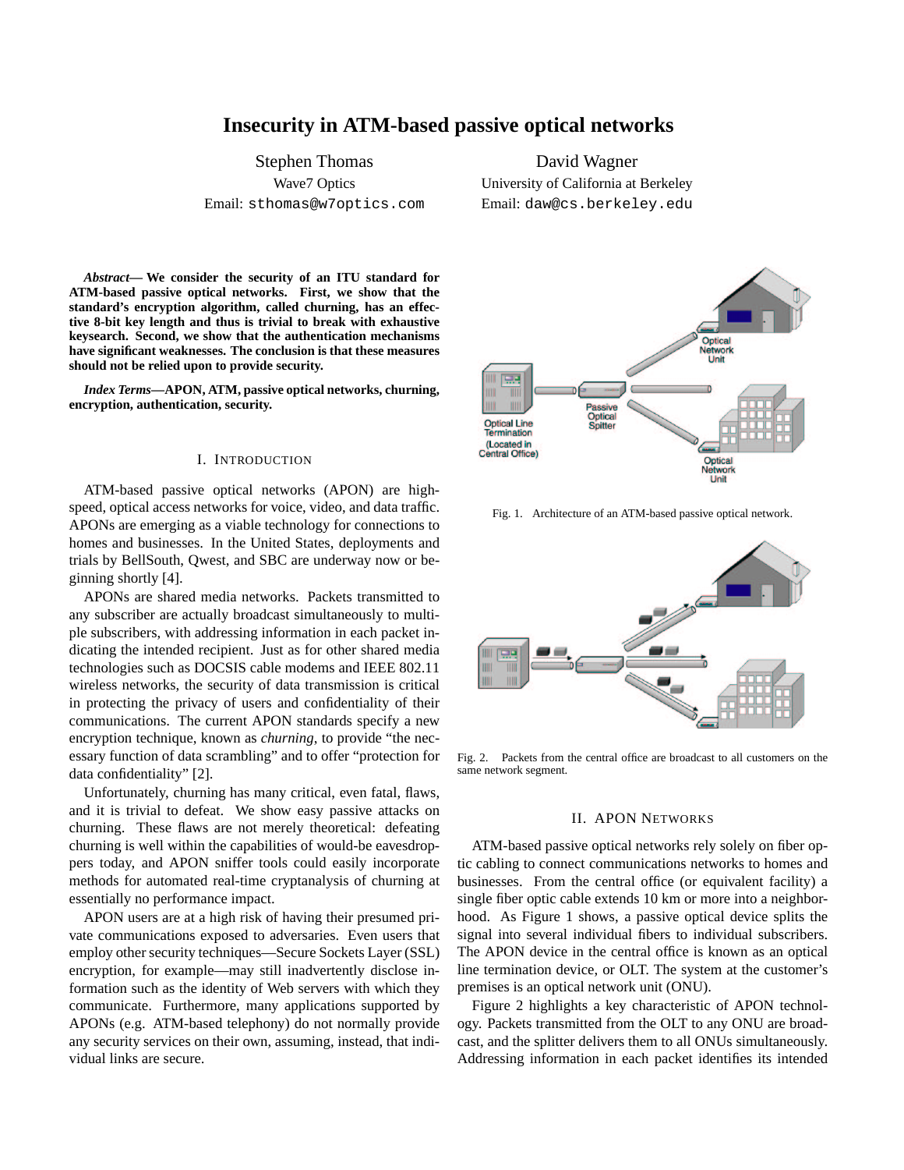# **Insecurity in ATM-based passive optical networks**

Stephen Thomas Wave7 Optics Email: sthomas@w7optics.com

David Wagner University of California at Berkeley Email: daw@cs.berkeley.edu

*Abstract***— We consider the security of an ITU standard for ATM-based passive optical networks. First, we show that the standard's encryption algorithm, called churning, has an effective 8-bit key length and thus is trivial to break with exhaustive keysearch. Second, we show that the authentication mechanisms have significant weaknesses. The conclusion is that these measures should not be relied upon to provide security.**

*Index Terms***—APON, ATM, passive optical networks, churning, encryption, authentication, security.**

#### I. INTRODUCTION

ATM-based passive optical networks (APON) are highspeed, optical access networks for voice, video, and data traffic. APONs are emerging as a viable technology for connections to homes and businesses. In the United States, deployments and trials by BellSouth, Qwest, and SBC are underway now or beginning shortly [4].

APONs are shared media networks. Packets transmitted to any subscriber are actually broadcast simultaneously to multiple subscribers, with addressing information in each packet indicating the intended recipient. Just as for other shared media technologies such as DOCSIS cable modems and IEEE 802.11 wireless networks, the security of data transmission is critical in protecting the privacy of users and confidentiality of their communications. The current APON standards specify a new encryption technique, known as *churning*, to provide "the necessary function of data scrambling" and to offer "protection for data confidentiality" [2].

Unfortunately, churning has many critical, even fatal, flaws, and it is trivial to defeat. We show easy passive attacks on churning. These flaws are not merely theoretical: defeating churning is well within the capabilities of would-be eavesdroppers today, and APON sniffer tools could easily incorporate methods for automated real-time cryptanalysis of churning at essentially no performance impact.

APON users are at a high risk of having their presumed private communications exposed to adversaries. Even users that employ other security techniques—Secure Sockets Layer (SSL) encryption, for example—may still inadvertently disclose information such as the identity of Web servers with which they communicate. Furthermore, many applications supported by APONs (e.g. ATM-based telephony) do not normally provide any security services on their own, assuming, instead, that individual links are secure.



Fig. 1. Architecture of an ATM-based passive optical network.



Fig. 2. Packets from the central office are broadcast to all customers on the same network segment.

## II. APON NETWORKS

ATM-based passive optical networks rely solely on fiber optic cabling to connect communications networks to homes and businesses. From the central office (or equivalent facility) a single fiber optic cable extends 10 km or more into a neighborhood. As Figure 1 shows, a passive optical device splits the signal into several individual fibers to individual subscribers. The APON device in the central office is known as an optical line termination device, or OLT. The system at the customer's premises is an optical network unit (ONU).

Figure 2 highlights a key characteristic of APON technology. Packets transmitted from the OLT to any ONU are broadcast, and the splitter delivers them to all ONUs simultaneously. Addressing information in each packet identifies its intended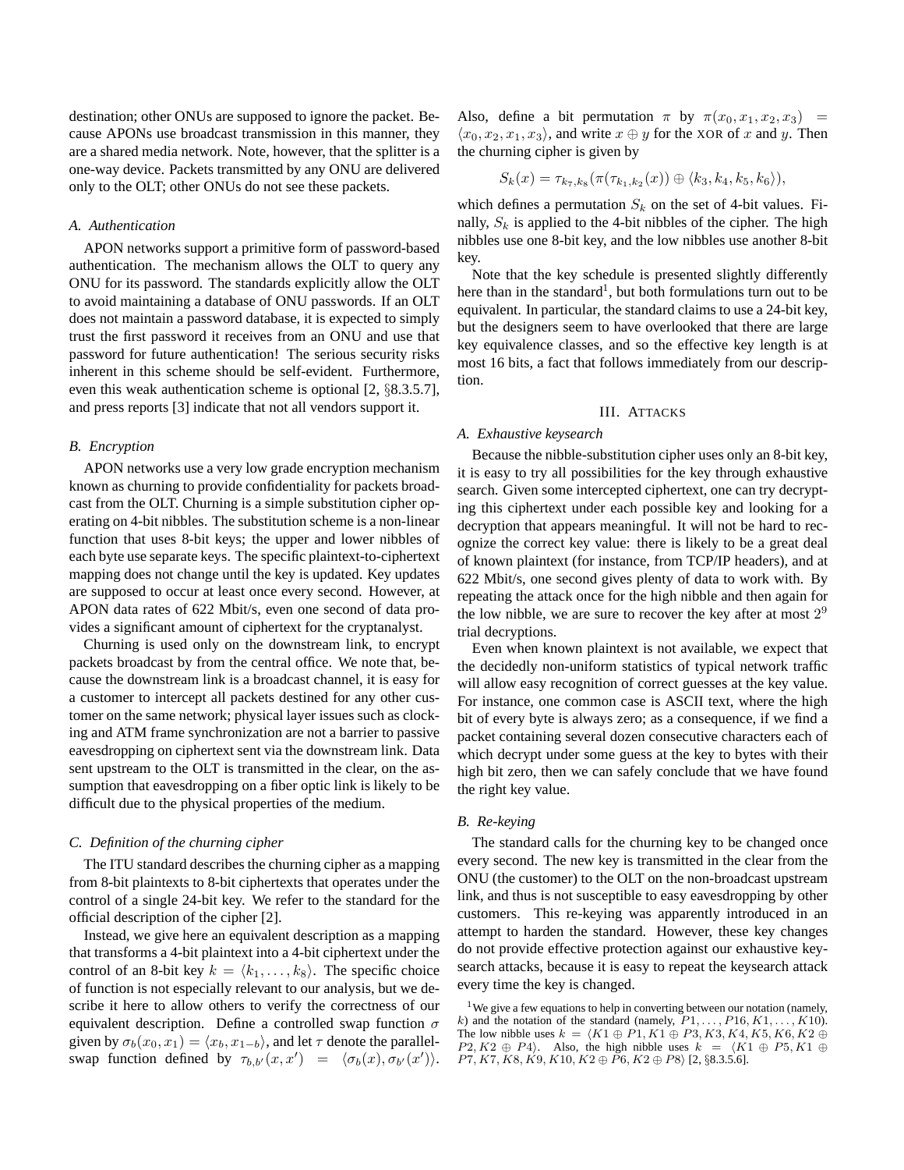destination; other ONUs are supposed to ignore the packet. Because APONs use broadcast transmission in this manner, they are a shared media network. Note, however, that the splitter is a one-way device. Packets transmitted by any ONU are delivered only to the OLT; other ONUs do not see these packets.

### *A. Authentication*

APON networks support a primitive form of password-based authentication. The mechanism allows the OLT to query any ONU for its password. The standards explicitly allow the OLT to avoid maintaining a database of ONU passwords. If an OLT does not maintain a password database, it is expected to simply trust the first password it receives from an ONU and use that password for future authentication! The serious security risks inherent in this scheme should be self-evident. Furthermore, even this weak authentication scheme is optional [2, §8.3.5.7], and press reports [3] indicate that not all vendors support it.

# *B. Encryption*

APON networks use a very low grade encryption mechanism known as churning to provide confidentiality for packets broadcast from the OLT. Churning is a simple substitution cipher operating on 4-bit nibbles. The substitution scheme is a non-linear function that uses 8-bit keys; the upper and lower nibbles of each byte use separate keys. The specific plaintext-to-ciphertext mapping does not change until the key is updated. Key updates are supposed to occur at least once every second. However, at APON data rates of 622 Mbit/s, even one second of data provides a significant amount of ciphertext for the cryptanalyst.

Churning is used only on the downstream link, to encrypt packets broadcast by from the central office. We note that, because the downstream link is a broadcast channel, it is easy for a customer to intercept all packets destined for any other customer on the same network; physical layer issues such as clocking and ATM frame synchronization are not a barrier to passive eavesdropping on ciphertext sent via the downstream link. Data sent upstream to the OLT is transmitted in the clear, on the assumption that eavesdropping on a fiber optic link is likely to be difficult due to the physical properties of the medium.

# *C. Definition of the churning cipher*

The ITU standard describes the churning cipher as a mapping from 8-bit plaintexts to 8-bit ciphertexts that operates under the control of a single 24-bit key. We refer to the standard for the official description of the cipher [2].

Instead, we give here an equivalent description as a mapping that transforms a 4-bit plaintext into a 4-bit ciphertext under the control of an 8-bit key  $k = \langle k_1, \ldots, k_8 \rangle$ . The specific choice of function is not especially relevant to our analysis, but we describe it here to allow others to verify the correctness of our equivalent description. Define a controlled swap function  $\sigma$ given by  $\sigma_b(x_0, x_1) = \langle x_b, x_{1-b} \rangle$ , and let  $\tau$  denote the parallelswap function defined by  $\tau_{b,b'}(x,x') = \langle \sigma_b(x), \sigma_{b'}(x') \rangle$ .

Also, define a bit permutation  $\pi$  by  $\pi(x_0, x_1, x_2, x_3)$  =  $\langle x_0, x_2, x_1, x_3 \rangle$ , and write  $x \oplus y$  for the XOR of x and y. Then the churning cipher is given by

$$
S_k(x) = \tau_{k_7,k_8}(\pi(\tau_{k_1,k_2}(x)) \oplus \langle k_3,k_4,k_5,k_6 \rangle),
$$

which defines a permutation  $S_k$  on the set of 4-bit values. Finally,  $S_k$  is applied to the 4-bit nibbles of the cipher. The high nibbles use one 8-bit key, and the low nibbles use another 8-bit key.

Note that the key schedule is presented slightly differently here than in the standard<sup>1</sup>, but both formulations turn out to be equivalent. In particular, the standard claims to use a 24-bit key, but the designers seem to have overlooked that there are large key equivalence classes, and so the effective key length is at most 16 bits, a fact that follows immediately from our description.

# III. ATTACKS

### *A. Exhaustive keysearch*

Because the nibble-substitution cipher uses only an 8-bit key, it is easy to try all possibilities for the key through exhaustive search. Given some intercepted ciphertext, one can try decrypting this ciphertext under each possible key and looking for a decryption that appears meaningful. It will not be hard to recognize the correct key value: there is likely to be a great deal of known plaintext (for instance, from TCP/IP headers), and at 622 Mbit/s, one second gives plenty of data to work with. By repeating the attack once for the high nibble and then again for the low nibble, we are sure to recover the key after at most  $2^9$ trial decryptions.

Even when known plaintext is not available, we expect that the decidedly non-uniform statistics of typical network traffic will allow easy recognition of correct guesses at the key value. For instance, one common case is ASCII text, where the high bit of every byte is always zero; as a consequence, if we find a packet containing several dozen consecutive characters each of which decrypt under some guess at the key to bytes with their high bit zero, then we can safely conclude that we have found the right key value.

## *B. Re-keying*

The standard calls for the churning key to be changed once every second. The new key is transmitted in the clear from the ONU (the customer) to the OLT on the non-broadcast upstream link, and thus is not susceptible to easy eavesdropping by other customers. This re-keying was apparently introduced in an attempt to harden the standard. However, these key changes do not provide effective protection against our exhaustive keysearch attacks, because it is easy to repeat the keysearch attack every time the key is changed.

 $1$ We give a few equations to help in converting between our notation (namely, k) and the notation of the standard (namely,  $P1, \ldots, P16, K1, \ldots, K10$ ). The low nibble uses  $k = (K1 \oplus P1, K1 \oplus P3, K3, K4, K5, K6, K2 \oplus$  $P2, K2 \oplus P4$ . Also, the high nibble uses  $k = \langle K1 \oplus P5, K1 \oplus P6 \rangle$  $P7, K7, K8, K9, K10, K2 \oplus P6, K2 \oplus P8$  [2, §8.3.5.6].